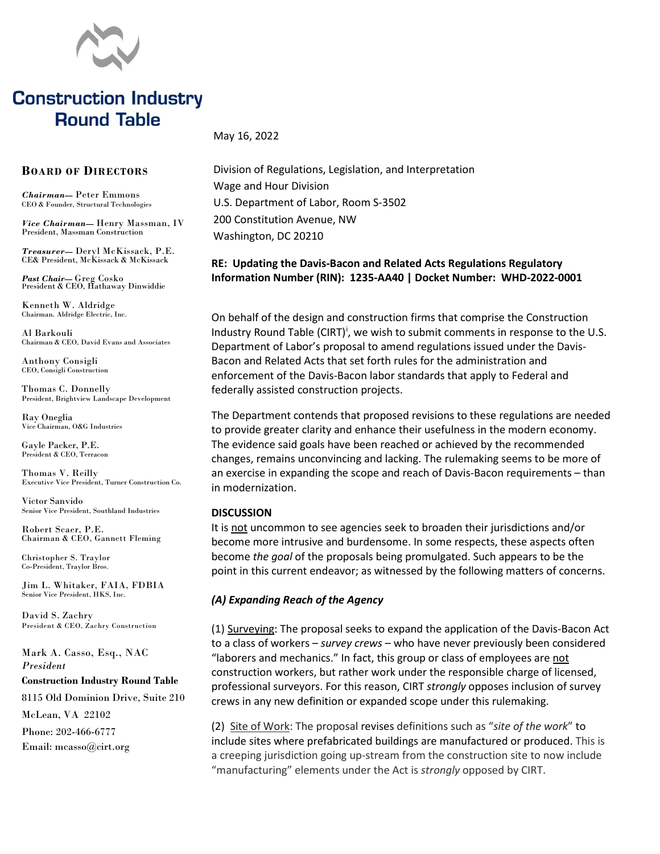

# **Construction Industry Round Table**

May 16, 2022

## **BOARD OF DIRECTORS**

*Chairman***—** Peter Emmons CEO & Founder, Structural Technologies

*Vice Chairman***—** Henry Massman, IV President, Massman Construction

*Treasurer***—** Deryl McKissack, P.E. CE& President, McKissack & McKissack

*Past Chair***—** Greg Cosko President & CEO, Hathaway Dinwiddie

Kenneth W. Aldridge Chairman. Aldridge Electric, Inc.

Al Barkouli Chairman & CEO, David Evans and Associates

Anthony Consigli CEO, Consigli Construction

Thomas C. Donnelly President, Brightview Landscape Development

Ray Oneglia Vice Chairman, O&G Industries

Gayle Packer, P.E. President & CEO, Terracon

Thomas V. Reilly Executive Vice President, Turner Construction Co.

Victor Sanvido Senior Vice President, Southland Industries

Robert Scaer, P.E. Chairman & CEO, Gannett Fleming

Christopher S. Traylor Co-President, Traylor Bros.

Jim L. Whitaker, FAIA, FDBIA Senior Vice President, HKS, Inc.

David S. Zachry President & CEO, Zachry Construction

Mark A. Casso, Esq., NAC *President*

#### **Construction Industry Round Table**

8115 Old Dominion Drive, Suite 210 McLean, VA 22102 Phone: 202-466-6777 Email: mcasso@cirt.org

Division of Regulations, Legislation, and Interpretation Wage and Hour Division U.S. Department of Labor, Room S-3502 200 Constitution Avenue, NW Washington, DC 20210

## **RE: Updating the Davis-Bacon and Related Acts Regulations Regulatory Information Number (RIN): 1235-AA40 | Docket Number: WHD-2022-0001**

On behalf of the design and construction firms that comprise the Construction Industry Round Table (CIRT)<sup>[i](#page-1-0)</sup>, we wish to submit comments in response to the U.S. Department of Labor's proposal to amend regulations issued under the Davis-Bacon and Related Acts that set forth rules for the administration and enforcement of the Davis-Bacon labor standards that apply to Federal and federally assisted construction projects.

The Department contends that proposed revisions to these regulations are needed to provide greater clarity and enhance their usefulness in the modern economy. The evidence said goals have been reached or achieved by the recommended changes, remains unconvincing and lacking. The rulemaking seems to be more of an exercise in expanding the scope and reach of Davis-Bacon requirements – than in modernization.

#### **DISCUSSION**

It is not uncommon to see agencies seek to broaden their jurisdictions and/or become more intrusive and burdensome. In some respects, these aspects often become *the goal* of the proposals being promulgated. Such appears to be the point in this current endeavor; as witnessed by the following matters of concerns.

### *(A) Expanding Reach of the Agency*

(1) Surveying: The proposal seeks to expand the application of the Davis-Bacon Act to a class of workers – *survey crews* – who have never previously been considered "laborers and mechanics." In fact, this group or class of employees are not construction workers, but rather work under the responsible charge of licensed, professional surveyors. For this reason, CIRT *strongly* opposes inclusion of survey crews in any new definition or expanded scope under this rulemaking.

(2) Site of Work: The proposal revises definitions such as "*site of the work*" to include sites where prefabricated buildings are manufactured or produced. This is a creeping jurisdiction going up-stream from the construction site to now include "manufacturing" elements under the Act is *strongly* opposed by CIRT.